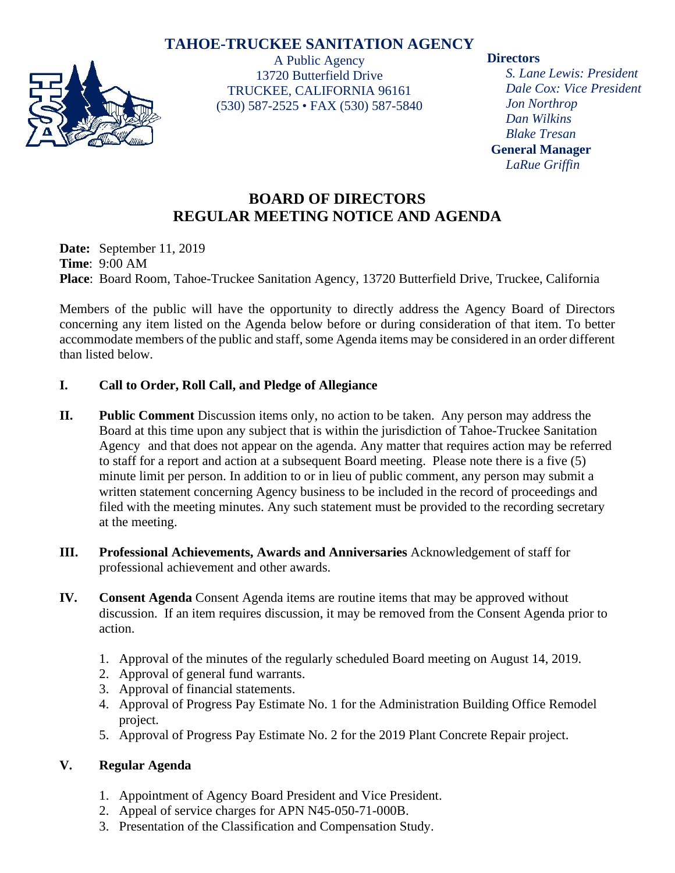# **TAHOE-TRUCKEE SANITATION AGENCY**



A Public Agency 13720 Butterfield Drive TRUCKEE, CALIFORNIA 96161 (530) 587-2525 • FAX (530) 587-5840

### **Directors**

*S. Lane Lewis: President Dale Cox: Vice President Jon Northrop Dan Wilkins Blake Tresan* **General Manager** *LaRue Griffin*

# **BOARD OF DIRECTORS REGULAR MEETING NOTICE AND AGENDA**

**Date:** September 11, 2019 **Time**: 9:00 AM **Place**: Board Room, Tahoe-Truckee Sanitation Agency, 13720 Butterfield Drive, Truckee, California

Members of the public will have the opportunity to directly address the Agency Board of Directors concerning any item listed on the Agenda below before or during consideration of that item. To better accommodate members of the public and staff, some Agenda items may be considered in an order different than listed below.

## **I. Call to Order, Roll Call, and Pledge of Allegiance**

- **II. Public Comment** Discussion items only, no action to be taken. Any person may address the Board at this time upon any subject that is within the jurisdiction of Tahoe-Truckee Sanitation Agency and that does not appear on the agenda. Any matter that requires action may be referred to staff for a report and action at a subsequent Board meeting. Please note there is a five (5) minute limit per person. In addition to or in lieu of public comment, any person may submit a written statement concerning Agency business to be included in the record of proceedings and filed with the meeting minutes. Any such statement must be provided to the recording secretary at the meeting.
- **III. Professional Achievements, Awards and Anniversaries** Acknowledgement of staff for professional achievement and other awards.
- **IV. Consent Agenda** Consent Agenda items are routine items that may be approved without discussion. If an item requires discussion, it may be removed from the Consent Agenda prior to action.
	- 1. Approval of the minutes of the regularly scheduled Board meeting on August 14, 2019.
	- 2. Approval of general fund warrants.
	- 3. Approval of financial statements.
	- 4. Approval of Progress Pay Estimate No. 1 for the Administration Building Office Remodel project.
	- 5. Approval of Progress Pay Estimate No. 2 for the 2019 Plant Concrete Repair project.

## **V. Regular Agenda**

- 1. Appointment of Agency Board President and Vice President.
- 2. Appeal of service charges for APN N45-050-71-000B.
- 3. Presentation of the Classification and Compensation Study.